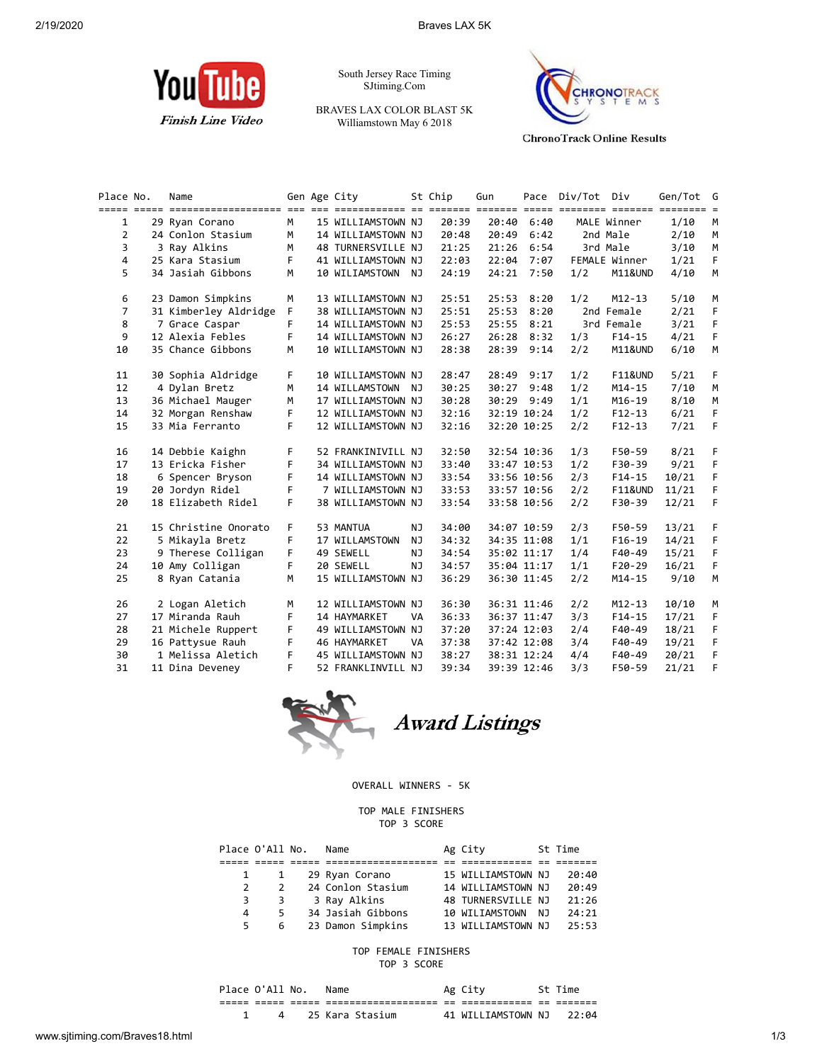

South Jersey Race Timing SJtiming.Com

BRAVES LAX COLOR BLAST 5K Williamstown May 6 2018



**ChronoTrack Online Results** 

| Place No.      | Name                  |    | Gen Age City       |     | St Chip | Gun   |             | Pace Div/Tot Div |                    | Gen/Tot G |    |
|----------------|-----------------------|----|--------------------|-----|---------|-------|-------------|------------------|--------------------|-----------|----|
| $\mathbf{1}$   | 29 Ryan Corano        | M  | 15 WILLIAMSTOWN NJ |     | 20:39   | 20:40 | 6:40        |                  | MALE Winner        | 1/10      | M  |
| 2              | 24 Conlon Stasium     | M  | 14 WILLIAMSTOWN NJ |     | 20:48   | 20:49 | 6:42        |                  | 2nd Male           | 2/10      | M  |
| 3              | 3 Ray Alkins          | M  | 48 TURNERSVILLE NJ |     | 21:25   | 21:26 | 6:54        |                  | 3rd Male           | 3/10      | M  |
| 4              | 25 Kara Stasium       | F  | 41 WILLIAMSTOWN NJ |     | 22:03   | 22:04 | 7:07        |                  | FEMALE Winner      | 1/21      | F  |
| 5              | 34 Jasiah Gibbons     | M  | 10 WILIAMSTOWN NJ  |     | 24:19   | 24:21 | 7:50        | 1/2              | M11&UND            | 4/10      | M  |
| 6              | 23 Damon Simpkins     | M  | 13 WILLIAMSTOWN NJ |     | 25:51   | 25:53 | 8:20        | 1/2              | $M12 - 13$         | 5/10      | М  |
| $\overline{7}$ | 31 Kimberley Aldridge | F  | 38 WILLIAMSTOWN NJ |     | 25:51   | 25:53 | 8:20        |                  | 2nd Female         | 2/21      | F  |
| 8              | 7 Grace Caspar        | F  | 14 WILLIAMSTOWN NJ |     | 25:53   | 25:55 | 8:21        |                  | 3rd Female         | 3/21      | F  |
| 9              | 12 Alexia Febles      | F  | 14 WILLIAMSTOWN NJ |     | 26:27   | 26:28 | 8:32        | 1/3              | $F14-15$           | 4/21      | F  |
| 10             | 35 Chance Gibbons     | M  | 10 WILLIAMSTOWN NJ |     | 28:38   | 28:39 | 9:14        | 2/2              | M11&UND            | 6/10      | M  |
| 11             | 30 Sophia Aldridge    | F. | 10 WILLIAMSTOWN NJ |     | 28:47   | 28:49 | 9:17        | 1/2              | <b>F11&amp;UND</b> | 5/21      | F. |
| 12             | 4 Dylan Bretz         | м  | 14 WILLAMSTOWN     | NJ  | 30:25   | 30:27 | 9:48        | 1/2              | $M14 - 15$         | 7/10      | М  |
| 13             | 36 Michael Mauger     | М  | 17 WILLIAMSTOWN NJ |     | 30:28   | 30:29 | 9:49        | 1/1              | $M16 - 19$         | 8/10      | М  |
| 14             | 32 Morgan Renshaw     | F  | 12 WILLIAMSTOWN NJ |     | 32:16   |       | 32:19 10:24 | 1/2              | $F12-13$           | 6/21      | F  |
| 15             | 33 Mia Ferranto       | F  | 12 WILLIAMSTOWN NJ |     | 32:16   |       | 32:20 10:25 | 2/2              | $F12 - 13$         | 7/21      | F  |
| 16             | 14 Debbie Kaighn      | F  | 52 FRANKINIVILL NJ |     | 32:50   |       | 32:54 10:36 | 1/3              | F50-59             | 8/21      | F. |
| 17             | 13 Ericka Fisher      | F  | 34 WILLIAMSTOWN NJ |     | 33:40   |       | 33:47 10:53 | 1/2              | F30-39             | 9/21      | F  |
| 18             | 6 Spencer Bryson      | F  | 14 WILLIAMSTOWN NJ |     | 33:54   |       | 33:56 10:56 | 2/3              | $F14 - 15$         | 10/21     | F  |
| 19             | 20 Jordyn Ridel       | F  | 7 WILLIAMSTOWN NJ  |     | 33:53   |       | 33:57 10:56 | 2/2              | <b>F11&amp;UND</b> | 11/21     | F  |
| 20             | 18 Elizabeth Ridel    | F  | 38 WILLIAMSTOWN NJ |     | 33:54   |       | 33:58 10:56 | 2/2              | F30-39             | 12/21     | F  |
| 21             | 15 Christine Onorato  | F  | 53 MANTUA          | NJ  | 34:00   |       | 34:07 10:59 | 2/3              | F50-59             | 13/21     | F  |
| 22             | 5 Mikayla Bretz       | F  | 17 WILLAMSTOWN     | NJ  | 34:32   |       | 34:35 11:08 | 1/1              | $F16-19$           | 14/21     | F  |
| 23             | 9 Therese Colligan    | F  | 49 SEWELL          | NJ. | 34:54   |       | 35:02 11:17 | 1/4              | F40-49             | 15/21     | F  |
| 24             | 10 Amy Colligan       | F  | 20 SEWELL          | NJ  | 34:57   |       | 35:04 11:17 | 1/1              | $F20-29$           | 16/21     | F  |
| 25             | 8 Ryan Catania        | M  | 15 WILLIAMSTOWN NJ |     | 36:29   |       | 36:30 11:45 | 2/2              | $M14 - 15$         | 9/10      | M  |
| 26             | 2 Logan Aletich       | м  | 12 WILLIAMSTOWN NJ |     | 36:30   |       | 36:31 11:46 | 2/2              | $M12 - 13$         | 10/10     | М  |
| 27             | 17 Miranda Rauh       | F  | 14 HAYMARKET       | VA  | 36:33   |       | 36:37 11:47 | 3/3              | $F14-15$           | 17/21     | F  |
| 28             | 21 Michele Ruppert    | F  | 49 WILLIAMSTOWN NJ |     | 37:20   |       | 37:24 12:03 | 2/4              | F40-49             | 18/21     | F  |
| 29             | 16 Pattysue Rauh      | F  | 46 HAYMARKET       | VA  | 37:38   |       | 37:42 12:08 | 3/4              | F40-49             | 19/21     | F  |
| 30             | 1 Melissa Aletich     | F  | 45 WILLIAMSTOWN NJ |     | 38:27   |       | 38:31 12:24 | 4/4              | F40-49             | 20/21     | F  |
| 31             | 11 Dina Deveney       | F  | 52 FRANKLINVILL NJ |     | 39:34   |       | 39:39 12:46 | 3/3              | F50-59             | 21/21     | F  |



OVERALL WINNERS - 5K

## TOP MALE FINISHERS TOP 3 SCORE

|               | Place O'All No. | Name              | Ag City            |       | St Time |
|---------------|-----------------|-------------------|--------------------|-------|---------|
|               |                 |                   |                    |       |         |
|               |                 | 29 Ryan Corano    | 15 WILLIAMSTOWN NJ |       | 20:40   |
| $\mathcal{P}$ | $\mathcal{P}$   | 24 Conlon Stasium | 14 WILLIAMSTOWN NJ |       | 20:49   |
| 3             | 3               | 3 Ray Alkins      | 48 TURNERSVILLE NJ |       | 21:26   |
| 4             | 5               | 34 Jasiah Gibbons | 10 WILIAMSTOWN     | - N.T | 24:21   |
| 5.            | 6               | 23 Damon Simpkins | 13 WILLIAMSTOWN NJ |       | 25:53   |

TOP FEMALE FINISHERS TOP 3 SCORE

| Place O'All No. |       |       | Name            |     | Ag City            |            | St Time |
|-----------------|-------|-------|-----------------|-----|--------------------|------------|---------|
| ----            | ----- | ----- |                 | $-$ | ___________        | --<br>$ -$ |         |
|                 |       |       | 25 Kara Stasium |     | 41 WILLIAMSTOWN NJ |            | –22:04  |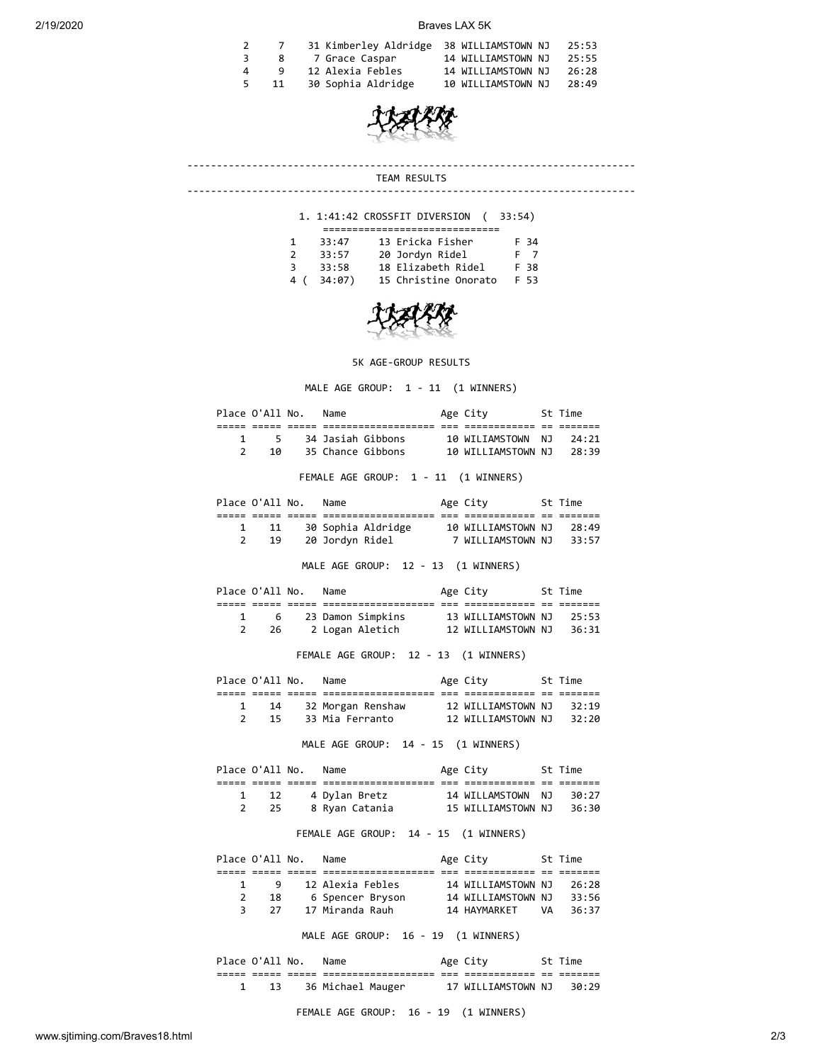## 2/19/2020 Braves LAX 5K

|              |          | 31 Kimberley Aldridge 38 WILLIAMSTOWN NJ |                    | 25:53 |
|--------------|----------|------------------------------------------|--------------------|-------|
|              | - 8      | 7 Grace Caspar                           | 14 WILLIAMSTOWN NJ | 25:55 |
| $\mathbf{A}$ | <b>q</b> | 12 Alexia Febles                         | 14 WILLIAMSTOWN NJ | 26:28 |
| 5.           | -11      | 30 Sophia Aldridge                       | 10 WILLIAMSTOWN NJ | 28:49 |
|              |          |                                          |                    |       |



## ---------------------------------------------------------------------------- TEAM RESULTS

----------------------------------------------------------------------------

## 1. 1:41:42 CROSSFIT DIVERSION ( 33:54)

|               | 33:47  | 13 Ericka Fisher     | F 34           |  |  |  |  |  |
|---------------|--------|----------------------|----------------|--|--|--|--|--|
| $\mathcal{P}$ | 33:57  | 20 Jordyn Ridel      | F <sub>7</sub> |  |  |  |  |  |
| 3.            | 33:58  | 18 Elizabeth Ridel   | F 38           |  |  |  |  |  |
| 4 (           | 34:07) | 15 Christine Onorato | <b>F 53</b>    |  |  |  |  |  |



5K AGE-GROUP RESULTS

MALE AGE GROUP: 1 - 11 (1 WINNERS)

| Place O'All No. Name |                        |                                                               | Age City 5t Time   |      |       |
|----------------------|------------------------|---------------------------------------------------------------|--------------------|------|-------|
|                      |                        | soo oosaa oosaa oogaagoogaagoogaagaa oog oogaagoogaaga oo oo  |                    |      |       |
| 1                    |                        |                                                               |                    | NJ 1 | 24:21 |
|                      |                        | 2 10 35 Chance Gibbons 10 WILLIAMSTOWN NJ 28:39               |                    |      |       |
|                      |                        |                                                               |                    |      |       |
|                      |                        | FEMALE AGE GROUP: 1 - 11 (1 WINNERS)                          |                    |      |       |
| Place O'All No. Name |                        | Age City 5t Time                                              |                    |      |       |
|                      |                        |                                                               |                    |      |       |
|                      | $\mathbf{1}$           | 11 30 Sophia Aldridge 10 WILLIAMSTOWN NJ                      |                    |      | 28:49 |
|                      | $2^{\sim}$<br>19       | 20 Jordyn Ridel 7 WILLIAMSTOWN NJ 33:57                       |                    |      |       |
|                      |                        | MALE AGE GROUP: 12 - 13 (1 WINNERS)                           |                    |      |       |
|                      |                        |                                                               |                    |      |       |
| Place O'All No. Name |                        | Age City 5t Time                                              |                    |      |       |
|                      |                        | ico cosos cosos especialentendentes por encontentente en l    |                    |      |       |
|                      | 1 6                    | 23 Damon Simpkins                                             | 13 WILLIAMSTOWN NJ |      | 25:53 |
|                      | $2^{\sim}$             | 26 2 Logan Aletich 12 WILLIAMSTOWN NJ                         |                    |      | 36:31 |
|                      |                        | FEMALE AGE GROUP: 12 - 13 (1 WINNERS)                         |                    |      |       |
| Place O'All No. Name |                        |                                                               | Age City 5t Time   |      |       |
|                      |                        |                                                               |                    |      |       |
|                      | $1 \quad \blacksquare$ | 14 32 Morgan Renshaw 12 WILLIAMSTOWN NJ                       |                    |      | 32:19 |
|                      |                        | 2 15 33 Mia Ferranto 12 WILLIAMSTOWN NJ 32:20                 |                    |      |       |
|                      |                        |                                                               |                    |      |       |
|                      |                        | MALE AGE GROUP: 14 - 15 (1 WINNERS)                           |                    |      |       |
|                      |                        | Place O'All No. Name Mage City 5t Time                        |                    |      |       |
|                      |                        | ios oposo oposo oposobosoposopososo opo oposoposopo op oposop |                    |      |       |
| 1                    | 12                     | 4 Dylan Bretz                                                 | 14 WILLAMSTOWN     | NJ 1 | 30:27 |
| $\overline{2}$       | 25                     | 8 Ryan Catania 15 WILLIAMSTOWN NJ                             |                    |      | 36:30 |
|                      |                        |                                                               |                    |      |       |
|                      |                        | FEMALE AGE GROUP: 14 - 15 (1 WINNERS)                         |                    |      |       |

| 14 WILLIAMSTOWN NJ | 26:28 |         |
|--------------------|-------|---------|
| 14 WILLIAMSTOWN NJ | 33:56 |         |
| VΔ                 | 36:37 |         |
|                    |       | St Time |

MALE AGE GROUP: 16 - 19 (1 WINNERS)

Place O'All No. Name Age City St Time ===== ===== ===== =================== === ============ == ======= 1 13 36 Michael Mauger 17 WILLIAMSTOWN NJ 30:29